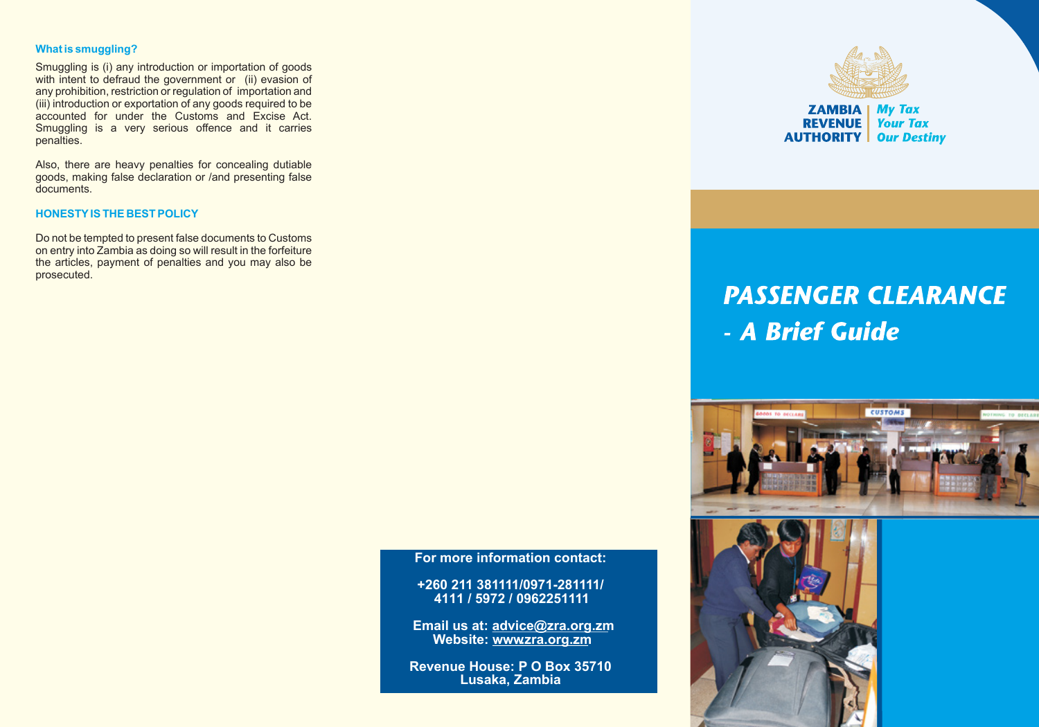## **What is smuggling?**

Smuggling is (i) any introduction or importation of goods with intent to defraud the government or (ii) evasion of any prohibition, restriction or regulation of importation and (iii) introduction or exportation of any goods required to be accounted for under the Customs and Excise Act. Smuggling is a very serious offence and it carries penalties.

Also, there are heavy penalties for concealing dutiable goods, making false declaration or /and presenting false documents.

#### **HONESTYIS THE BEST POLICY**

Do not be tempted to present false documents to Customs on entry into Zambia as doing so will result in the forfeiture the articles, payment of penalties and you may also be prosecuted.



**AUTHORITY Our Destiny** 

# **PASSENGER CLEARANCE** - A Brief Guide



**For more information contact:**

**+260 211 381111/0971-281111/ 4111 / 5972 / 0962251111**

**Email us at: advice@zra.org.zm Website: www.zra.org.zm**

**Revenue House: P O Box 35710 Lusaka, Zambia**